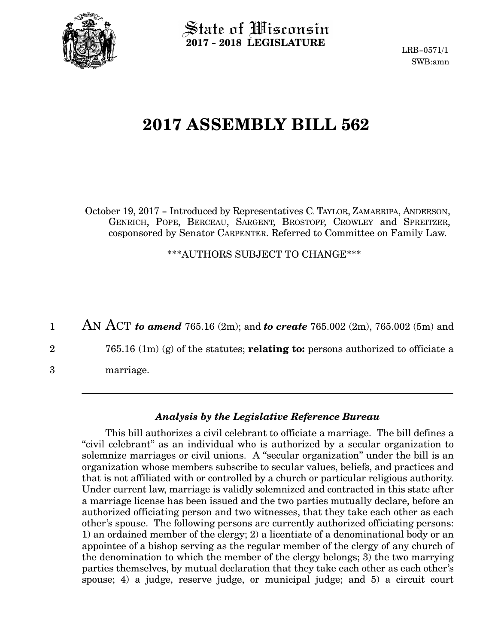

State of Wisconsin **2017 - 2018 LEGISLATURE**

LRB-0571/1 SWB:amn

## **2017 ASSEMBLY BILL 562**

October 19, 2017 - Introduced by Representatives C. TAYLOR, ZAMARRIPA, ANDERSON, GENRICH, POPE, BERCEAU, SARGENT, BROSTOFF, CROWLEY and SPREITZER, cosponsored by Senator CARPENTER. Referred to Committee on Family Law.

\*\*\*AUTHORS SUBJECT TO CHANGE\*\*\*

AN ACT *to amend* 765.16 (2m); and *to create* 765.002 (2m), 765.002 (5m) and 1

765.16 (1m) (g) of the statutes; **relating to:** persons authorized to officiate a 2

marriage. 3

## *Analysis by the Legislative Reference Bureau*

This bill authorizes a civil celebrant to officiate a marriage. The bill defines a "civil celebrant" as an individual who is authorized by a secular organization to solemnize marriages or civil unions. A "secular organization" under the bill is an organization whose members subscribe to secular values, beliefs, and practices and that is not affiliated with or controlled by a church or particular religious authority. Under current law, marriage is validly solemnized and contracted in this state after a marriage license has been issued and the two parties mutually declare, before an authorized officiating person and two witnesses, that they take each other as each other's spouse. The following persons are currently authorized officiating persons: 1) an ordained member of the clergy; 2) a licentiate of a denominational body or an appointee of a bishop serving as the regular member of the clergy of any church of the denomination to which the member of the clergy belongs; 3) the two marrying parties themselves, by mutual declaration that they take each other as each other's spouse; 4) a judge, reserve judge, or municipal judge; and 5) a circuit court